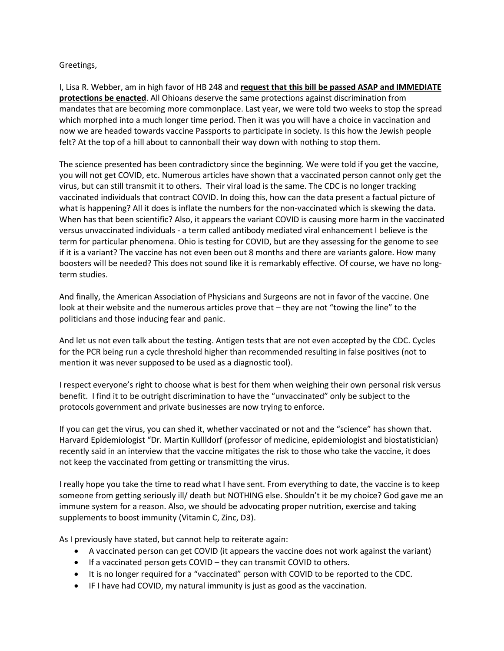## Greetings,

I, Lisa R. Webber, am in high favor of HB 248 and **request that this bill be passed ASAP and IMMEDIATE protections be enacted**. All Ohioans deserve the same protections against discrimination from mandates that are becoming more commonplace. Last year, we were told two weeks to stop the spread which morphed into a much longer time period. Then it was you will have a choice in vaccination and now we are headed towards vaccine Passports to participate in society. Is this how the Jewish people felt? At the top of a hill about to cannonball their way down with nothing to stop them.

The science presented has been contradictory since the beginning. We were told if you get the vaccine, you will not get COVID, etc. Numerous articles have shown that a vaccinated person cannot only get the virus, but can still transmit it to others. Their viral load is the same. The CDC is no longer tracking vaccinated individuals that contract COVID. In doing this, how can the data present a factual picture of what is happening? All it does is inflate the numbers for the non-vaccinated which is skewing the data. When has that been scientific? Also, it appears the variant COVID is causing more harm in the vaccinated versus unvaccinated individuals - a term called antibody mediated viral enhancement I believe is the term for particular phenomena. Ohio is testing for COVID, but are they assessing for the genome to see if it is a variant? The vaccine has not even been out 8 months and there are variants galore. How many boosters will be needed? This does not sound like it is remarkably effective. Of course, we have no longterm studies.

And finally, the American Association of Physicians and Surgeons are not in favor of the vaccine. One look at their website and the numerous articles prove that – they are not "towing the line" to the politicians and those inducing fear and panic.

And let us not even talk about the testing. Antigen tests that are not even accepted by the CDC. Cycles for the PCR being run a cycle threshold higher than recommended resulting in false positives (not to mention it was never supposed to be used as a diagnostic tool).

I respect everyone's right to choose what is best for them when weighing their own personal risk versus benefit. I find it to be outright discrimination to have the "unvaccinated" only be subject to the protocols government and private businesses are now trying to enforce.

If you can get the virus, you can shed it, whether vaccinated or not and the "science" has shown that. Harvard Epidemiologist "Dr. Martin Kullldorf (professor of medicine, epidemiologist and biostatistician) recently said in an interview that the vaccine mitigates the risk to those who take the vaccine, it does not keep the vaccinated from getting or transmitting the virus.

I really hope you take the time to read what I have sent. From everything to date, the vaccine is to keep someone from getting seriously ill/ death but NOTHING else. Shouldn't it be my choice? God gave me an immune system for a reason. Also, we should be advocating proper nutrition, exercise and taking supplements to boost immunity (Vitamin C, Zinc, D3).

As I previously have stated, but cannot help to reiterate again:

- A vaccinated person can get COVID (it appears the vaccine does not work against the variant)
- If a vaccinated person gets COVID they can transmit COVID to others.
- It is no longer required for a "vaccinated" person with COVID to be reported to the CDC.
- IF I have had COVID, my natural immunity is just as good as the vaccination.